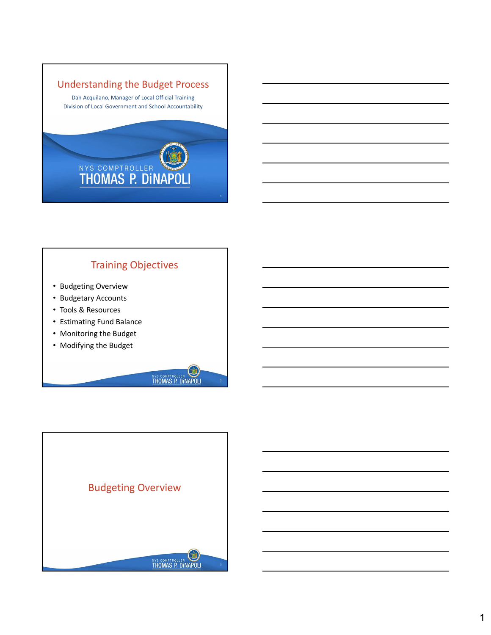

### Training Objectives

- Budgeting Overview
- Budgetary Accounts
- Tools & Resources
- Estimating Fund Balance
- Monitoring the Budget
- Modifying the Budget

**LET THOMAS P. DINAPOLI**  $2 \left( \frac{1}{2} \right)$ 

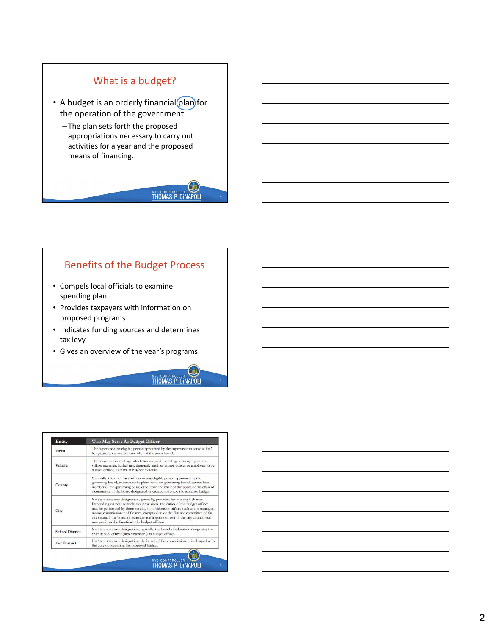

### Benefits of the Budget Process

- Compels local officials to examine spending plan
- Provides taxpayers with information on proposed programs
- Indicates funding sources and determines tax levy
- Gives an overview of the year's programs



| Entity                 | Who May Serve As Budget Officer                                                                                                                                                                                                                                                                                                                                                                                                                                     |
|------------------------|---------------------------------------------------------------------------------------------------------------------------------------------------------------------------------------------------------------------------------------------------------------------------------------------------------------------------------------------------------------------------------------------------------------------------------------------------------------------|
| Town                   | The supervisor, or eligible person appointed by the supervisor to serve at his/<br>her pleasure; cannot be a member of the town board.                                                                                                                                                                                                                                                                                                                              |
| Village                | The mayor or, in a village which has adopted the village manager plan, the<br>village manager. Either may designate another village officer or employee to be<br>budget officer, to serve at his/her pleasure.                                                                                                                                                                                                                                                      |
| County                 | Generally, the chief fiscal officer or any eligible person appointed by the<br>governing board, to serve at the pleasure of the governing board; cannot be a<br>member of the governing board other than the chair of the board or the chair of<br>a committee of the board designated or created to review the tentative budget.                                                                                                                                   |
| City                   | No State statutory designation; generally, provided for in a city's charter.<br>Depending on pertinent charter provisions, the duties of the budget officer<br>may be performed by those serving in positions or offices such as the manager,<br>mayor, commissioner of finance, comptroller, or the finance committee of the<br>city council, the board of estimate and apportionment or the city council itself<br>may perform the functions of a budget officer. |
| <b>School District</b> | No State statutory designation; typically, the board of education designates the<br>chief school officer (superintendent) as budget officer.                                                                                                                                                                                                                                                                                                                        |
| <b>Fire District</b>   | No State statutory designation; the board of fire commissioners is charged with<br>the duty of preparing the proposed budget.                                                                                                                                                                                                                                                                                                                                       |



 $5<sub>1</sub>$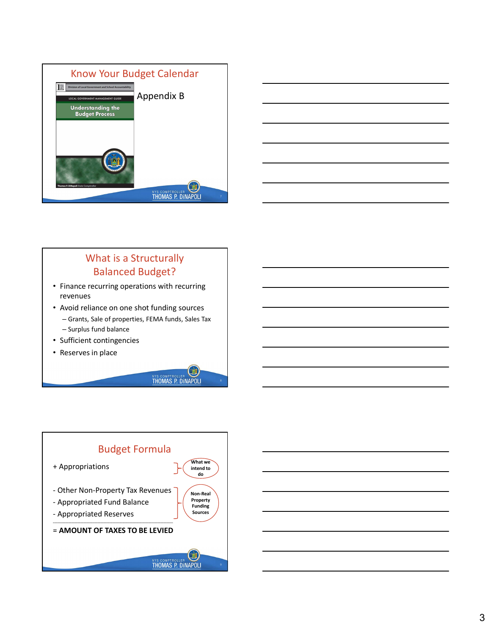



### What is a Structurally Balanced Budget?

- Finance recurring operations with recurring revenues
- Avoid reliance on one shot funding sources
	- Grants, Sale of properties, FEMA funds, Sales Tax
	- Surplus fund balance
- Sufficient contingencies
- Reserves in place



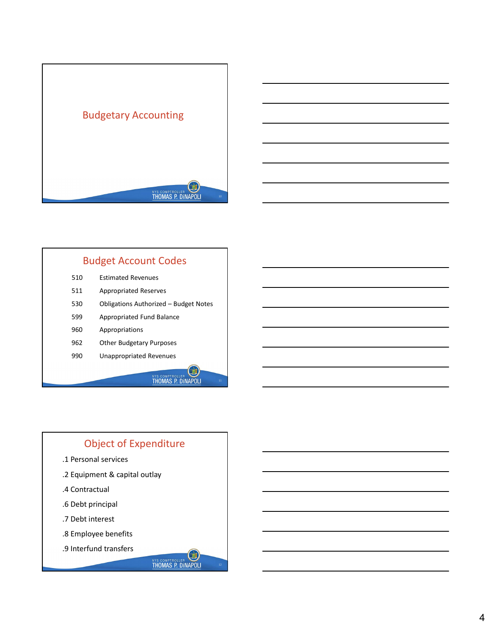



12

# Budget Account Codes

|     | NYS COMPTROLLER<br>THOMAS P. DINAPOLI<br>10 |
|-----|---------------------------------------------|
|     |                                             |
|     |                                             |
|     |                                             |
|     | <b>Budget Account Codes</b>                 |
| 510 | <b>Estimated Revenues</b>                   |
| 511 | <b>Appropriated Reserves</b>                |
| 530 | Obligations Authorized - Budget Notes       |
| 599 | Appropriated Fund Balance                   |
| 960 | Appropriations                              |
| 962 | Other Budgetary Purposes                    |
| 990 | <b>Unappropriated Revenues</b>              |
|     | <b>NYS COMPTROLLER</b><br>$11\,$            |
|     |                                             |

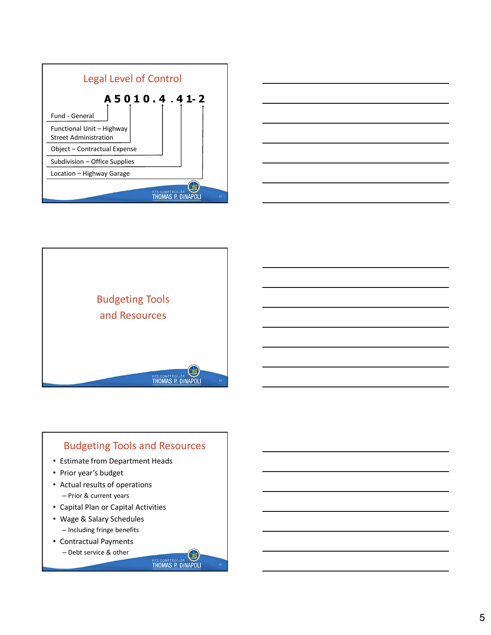





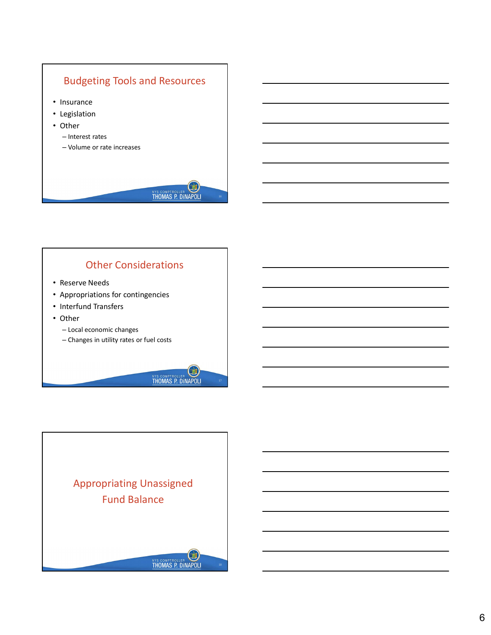

### Other Considerations

- Reserve Needs
- Appropriations for contingencies
- 
- Other
	- Local economic changes
	- Changes in utility rates or fuel costs



**THOMAS P. DINAPOLI** 

поставите по поставите на селото на селото на селото на селото на селото на селото на селото на селото на село<br>Поставите на селото на селото на селото на селото на селото на селото на селото на селото на селото на селото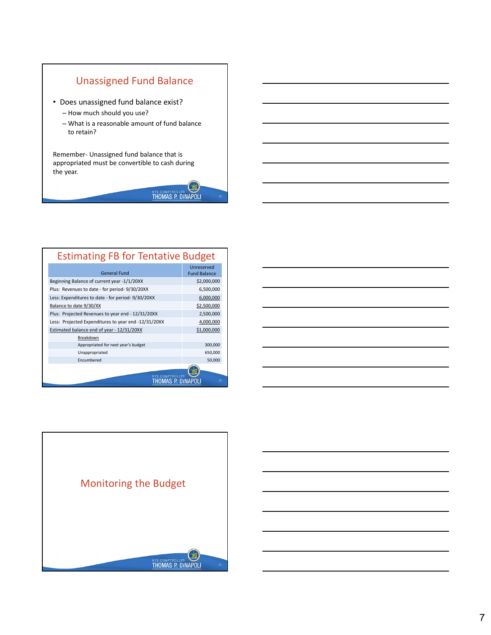

- Does unassigned fund balance exist?
	- How much should you use?
	- What is a reasonable amount of fund balance to retain?

Unassigned Fund Balance<br>
• Does unassigned fund balance exist?<br>
— How much should you use?<br>
— What is a reasonable amount of fund balance<br>
to retain?<br>
Remember- Unassigned fund balance that is<br>
appropriated must be convert appropriated must be convertible to cash during the year.



| Unassigned Fund Balance                              |                     |  |  |
|------------------------------------------------------|---------------------|--|--|
|                                                      |                     |  |  |
| • Does unassigned fund balance exist?                |                     |  |  |
|                                                      |                     |  |  |
| - How much should you use?                           |                     |  |  |
| - What is a reasonable amount of fund balance        |                     |  |  |
| to retain?                                           |                     |  |  |
|                                                      |                     |  |  |
| Remember- Unassigned fund balance that is            |                     |  |  |
| appropriated must be convertible to cash during      |                     |  |  |
| the year.                                            |                     |  |  |
|                                                      |                     |  |  |
|                                                      |                     |  |  |
| NYS COMPTROLLER<br>THOMAS P. DINAPOLI                | 19                  |  |  |
|                                                      |                     |  |  |
|                                                      |                     |  |  |
|                                                      |                     |  |  |
|                                                      |                     |  |  |
|                                                      |                     |  |  |
|                                                      |                     |  |  |
| <b>Estimating FB for Tentative Budget</b>            |                     |  |  |
|                                                      | Unreserved          |  |  |
| <b>General Fund</b>                                  | <b>Fund Balance</b> |  |  |
| Beginning Balance of current year -1/1/20XX          | \$2,000,000         |  |  |
| Plus: Revenues to date - for period- 9/30/20XX       | 6,500,000           |  |  |
| Less: Expenditures to date - for period- 9/30/20XX   | 6,000,000           |  |  |
| Balance to date 9/30/XX                              | \$2,500,000         |  |  |
| Plus: Projected Revenues to year end - 12/31/20XX    | 2,500,000           |  |  |
| Less: Projected Expenditures to year end -12/31/20XX | 4,000,000           |  |  |
| Estimated balance end of year - 12/31/20XX           | \$1,000,000         |  |  |
| Breakdown                                            |                     |  |  |
| Appropriated for next year's budget                  | 300,000             |  |  |
| Unappropriated                                       | 650,000             |  |  |
| Encumbered                                           | 50,000              |  |  |
| <b>NYS COMPTROLLER</b>                               |                     |  |  |
|                                                      |                     |  |  |
| <b>THOMAS P. DINAPOLI</b>                            | 20                  |  |  |



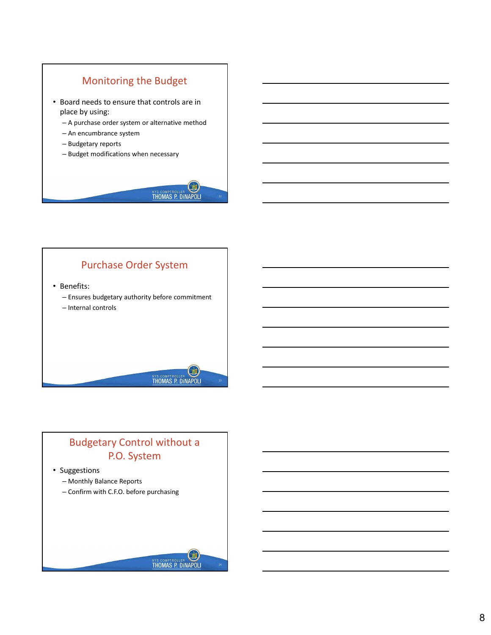# Monitoring the Budget

- Board needs to ensure that controls are in place by using:
	- A purchase order system or alternative method
	- An encumbrance system
	- Budgetary reports
	- Budget modifications when necessary



LOI

**THOMAS P. DINAPOLI** 

22 and 22 and 22 and 22 and 22 and 22 and 22 and 22 and 23 and 24 and 25 and 26 and 26 and 26 and 26 and 26 and 26 and 26 and 26 and 26 and 26 and 26 and 26 and 26 and 26 and 26 and 26 and 26 and 26 and 26 and 26 and 26 an

23

### Purchase Order System

• Benefits:

- Ensures budgetary authority before commitment
- Internal controls

## Budgetary Control without a P.O. System

#### • Suggestions

- Monthly Balance Reports
- Confirm with C.F.O. before purchasing

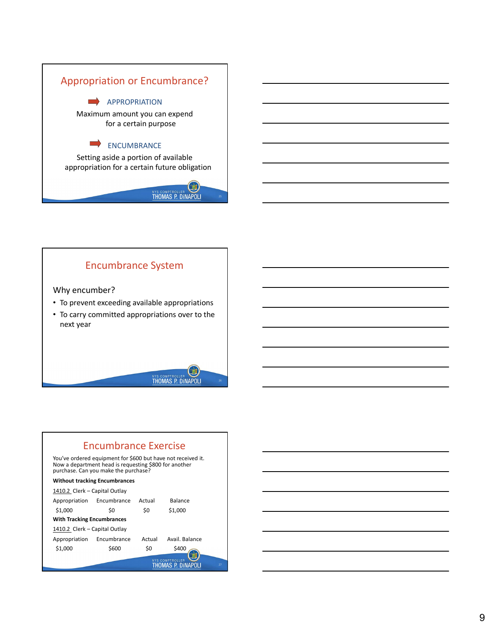

### Encumbrance System

#### Why encumber?

- To prevent exceeding available appropriations
- To carry committed appropriations over to the next year





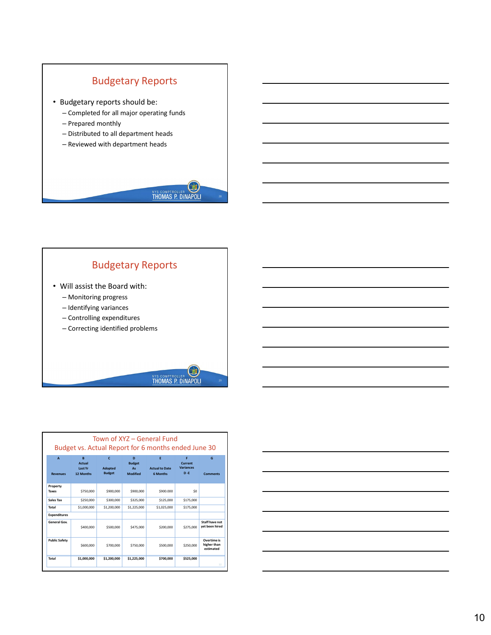



- Controlling expenditures
- Correcting identified problems





29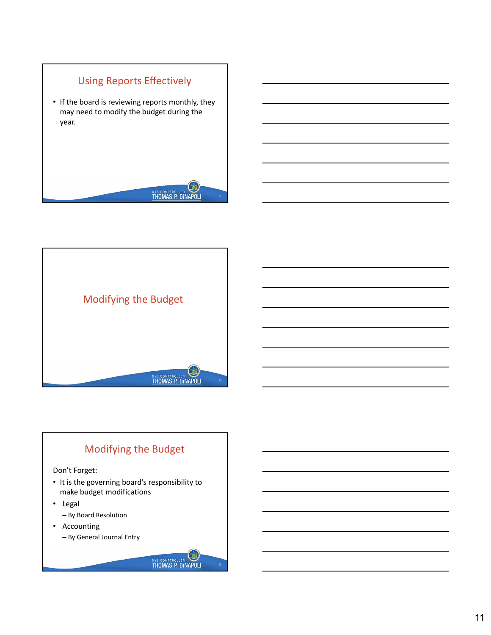



### Modifying the Budget

Don't Forget:

• It is the governing board's responsibility to make budget modifications

 $\Box$ 

**THOMAS P. DINAPOLI** 

33

- Legal
	- By Board Resolution
- Accounting
	- By General Journal Entry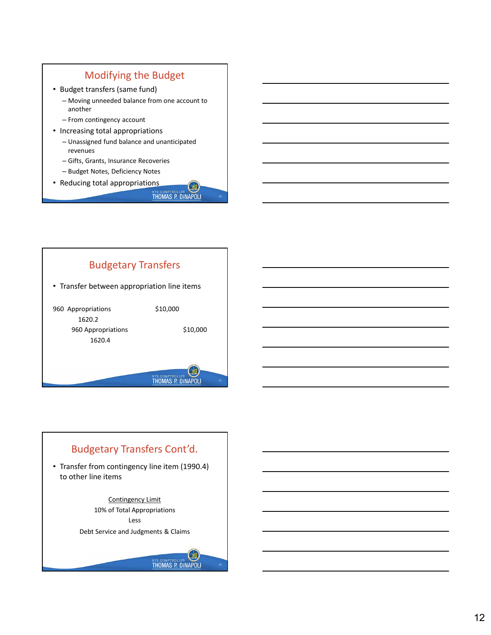### Modifying the Budget

- Budget transfers (same fund)
	- Moving unneeded balance from one account to another
	- From contingency account
- Increasing total appropriations
	- Unassigned fund balance and unanticipated revenues
	- Gifts, Grants, Insurance Recoveries
	- Budget Notes, Deficiency Notes
- Reducing total appropriations

**THOMAS P. DINAPOLI** 

34



## Budgetary Transfers Cont'd. • Transfer from contingency line item (1990.4) to other line items Contingency Limit 10% of Total Appropriations Less Debt Service and Judgments & ClaimsLET, **THOMAS P. DINAPOLI** 36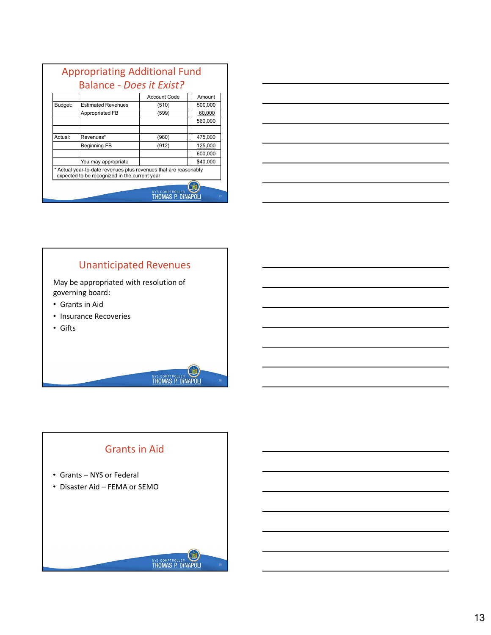|                    | <b>Appropriating Additional Fund</b>                                                                              |                           |          |
|--------------------|-------------------------------------------------------------------------------------------------------------------|---------------------------|----------|
|                    |                                                                                                                   |                           |          |
|                    | <b>Balance - Does it Exist?</b>                                                                                   |                           |          |
|                    |                                                                                                                   | <b>Account Code</b>       | Amount   |
|                    | <b>Estimated Revenues</b>                                                                                         | (510)                     | 500,000  |
|                    | Appropriated FB                                                                                                   | (599)                     | 60,000   |
|                    |                                                                                                                   |                           | 560,000  |
|                    | Revenues*                                                                                                         | (980)                     | 475,000  |
|                    | <b>Beginning FB</b>                                                                                               | (912)                     | 125,000  |
|                    |                                                                                                                   |                           | 600,000  |
|                    | You may appropriate                                                                                               |                           | \$40,000 |
| Budget:<br>Actual: | * Actual year-to-date revenues plus revenues that are reasonably<br>expected to be recognized in the current year |                           |          |
|                    |                                                                                                                   | <b>THOMAS P. DINAPOLI</b> |          |



# Unanticipated Revenues

May be appropriated with resolution of governing board:

- Grants in Aid
- Insurance Recoveries
- Gifts



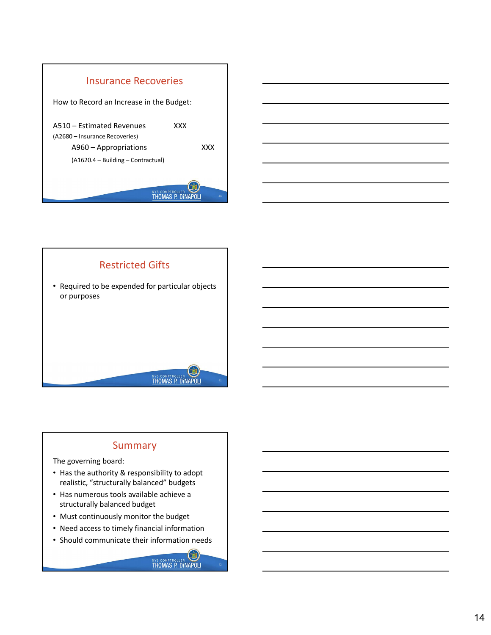

Restricted Gifts

• Required to be expended for particular objects



41

42

# Summary

The governing board:

or purposes

- Has the authority & responsibility to adopt realistic, "structurally balanced" budgets
- Has numerous tools available achieve a structurally balanced budget
- Must continuously monitor the budget
- Need access to timely financial information
- Should communicate their information needs



LOI

**THOMAS P. DINAPOLI**